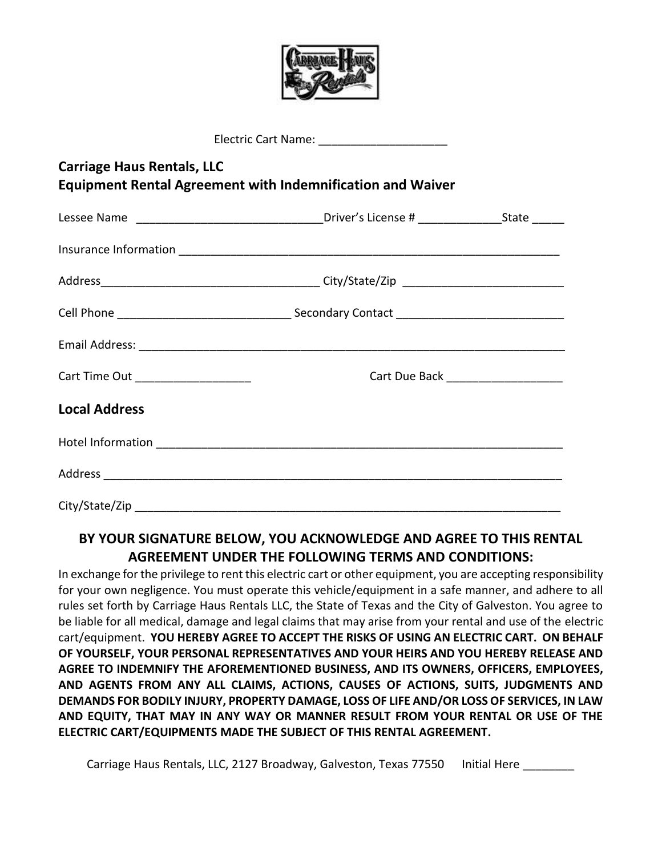

| Electric Cart Name: ________________________                                                           |                                                                                              |  |  |  |
|--------------------------------------------------------------------------------------------------------|----------------------------------------------------------------------------------------------|--|--|--|
| <b>Carriage Haus Rentals, LLC</b><br><b>Equipment Rental Agreement with Indemnification and Waiver</b> |                                                                                              |  |  |  |
|                                                                                                        | Lessee Name _________________________________Driver's License # ________________State ______ |  |  |  |
|                                                                                                        |                                                                                              |  |  |  |
|                                                                                                        |                                                                                              |  |  |  |
|                                                                                                        |                                                                                              |  |  |  |
|                                                                                                        |                                                                                              |  |  |  |
| Cart Time Out _____________________                                                                    |                                                                                              |  |  |  |
| <b>Local Address</b>                                                                                   |                                                                                              |  |  |  |
|                                                                                                        |                                                                                              |  |  |  |
|                                                                                                        |                                                                                              |  |  |  |
|                                                                                                        |                                                                                              |  |  |  |

## **BY YOUR SIGNATURE BELOW, YOU ACKNOWLEDGE AND AGREE TO THIS RENTAL AGREEMENT UNDER THE FOLLOWING TERMS AND CONDITIONS:**

In exchange for the privilege to rent this electric cart or other equipment, you are accepting responsibility for your own negligence. You must operate this vehicle/equipment in a safe manner, and adhere to all rules set forth by Carriage Haus Rentals LLC, the State of Texas and the City of Galveston. You agree to be liable for all medical, damage and legal claims that may arise from your rental and use of the electric cart/equipment. **YOU HEREBY AGREE TO ACCEPT THE RISKS OF USING AN ELECTRIC CART. ON BEHALF OF YOURSELF, YOUR PERSONAL REPRESENTATIVES AND YOUR HEIRS AND YOU HEREBY RELEASE AND AGREE TO INDEMNIFY THE AFOREMENTIONED BUSINESS, AND ITS OWNERS, OFFICERS, EMPLOYEES, AND AGENTS FROM ANY ALL CLAIMS, ACTIONS, CAUSES OF ACTIONS, SUITS, JUDGMENTS AND DEMANDS FOR BODILY INJURY, PROPERTY DAMAGE, LOSS OF LIFE AND/OR LOSS OF SERVICES, IN LAW AND EQUITY, THAT MAY IN ANY WAY OR MANNER RESULT FROM YOUR RENTAL OR USE OF THE ELECTRIC CART/EQUIPMENTS MADE THE SUBJECT OF THIS RENTAL AGREEMENT.**

Carriage Haus Rentals, LLC, 2127 Broadway, Galveston, Texas 77550 Initial Here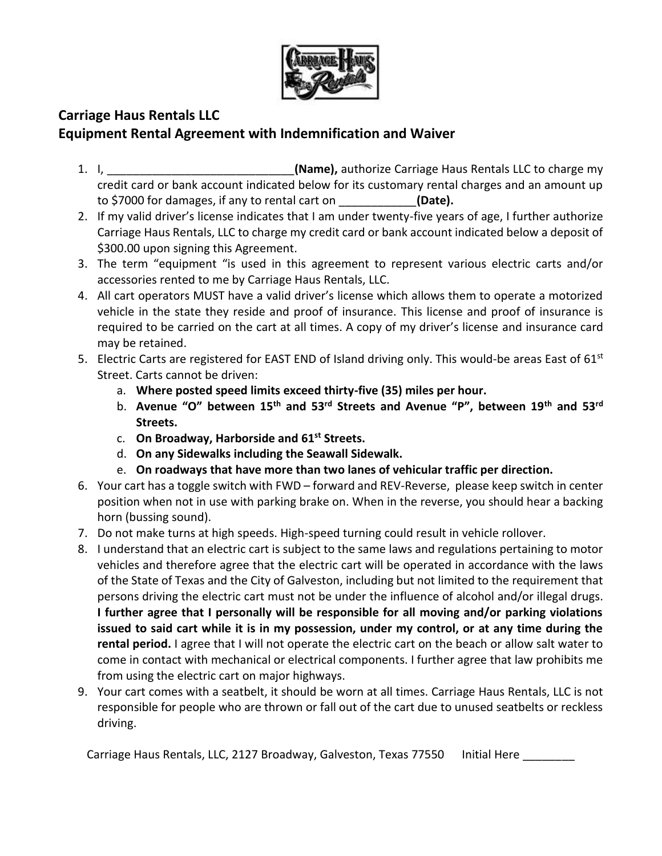

## **Carriage Haus Rentals LLC Equipment Rental Agreement with Indemnification and Waiver**

- 1. I, \_\_\_\_\_\_\_\_\_\_\_\_\_\_\_\_\_\_\_\_\_\_\_\_\_\_\_\_\_**(Name),** authorize Carriage Haus Rentals LLC to charge my credit card or bank account indicated below for its customary rental charges and an amount up to \$7000 for damages, if any to rental cart on \_\_\_\_\_\_\_\_\_\_\_\_**(Date).**
- 2. If my valid driver's license indicates that I am under twenty-five years of age, I further authorize Carriage Haus Rentals, LLC to charge my credit card or bank account indicated below a deposit of \$300.00 upon signing this Agreement.
- 3. The term "equipment "is used in this agreement to represent various electric carts and/or accessories rented to me by Carriage Haus Rentals, LLC.
- 4. All cart operators MUST have a valid driver's license which allows them to operate a motorized vehicle in the state they reside and proof of insurance. This license and proof of insurance is required to be carried on the cart at all times. A copy of my driver's license and insurance card may be retained.
- 5. Electric Carts are registered for EAST END of Island driving only. This would-be areas East of  $61^{st}$ Street. Carts cannot be driven:
	- a. **Where posted speed limits exceed thirty-five (35) miles per hour.**
	- b. **Avenue "O" between 15th and 53rd Streets and Avenue "P", between 19th and 53rd Streets.**
	- c. **On Broadway, Harborside and 61st Streets.**
	- d. **On any Sidewalks including the Seawall Sidewalk.**
	- e. **On roadways that have more than two lanes of vehicular traffic per direction.**
- 6. Your cart has a toggle switch with FWD forward and REV-Reverse, please keep switch in center position when not in use with parking brake on. When in the reverse, you should hear a backing horn (bussing sound).
- 7. Do not make turns at high speeds. High-speed turning could result in vehicle rollover.
- 8. I understand that an electric cart is subject to the same laws and regulations pertaining to motor vehicles and therefore agree that the electric cart will be operated in accordance with the laws of the State of Texas and the City of Galveston, including but not limited to the requirement that persons driving the electric cart must not be under the influence of alcohol and/or illegal drugs. **I further agree that I personally will be responsible for all moving and/or parking violations issued to said cart while it is in my possession, under my control, or at any time during the rental period.** I agree that I will not operate the electric cart on the beach or allow salt water to come in contact with mechanical or electrical components. I further agree that law prohibits me from using the electric cart on major highways.
- 9. Your cart comes with a seatbelt, it should be worn at all times. Carriage Haus Rentals, LLC is not responsible for people who are thrown or fall out of the cart due to unused seatbelts or reckless driving.

Carriage Haus Rentals, LLC, 2127 Broadway, Galveston, Texas 77550 Initial Here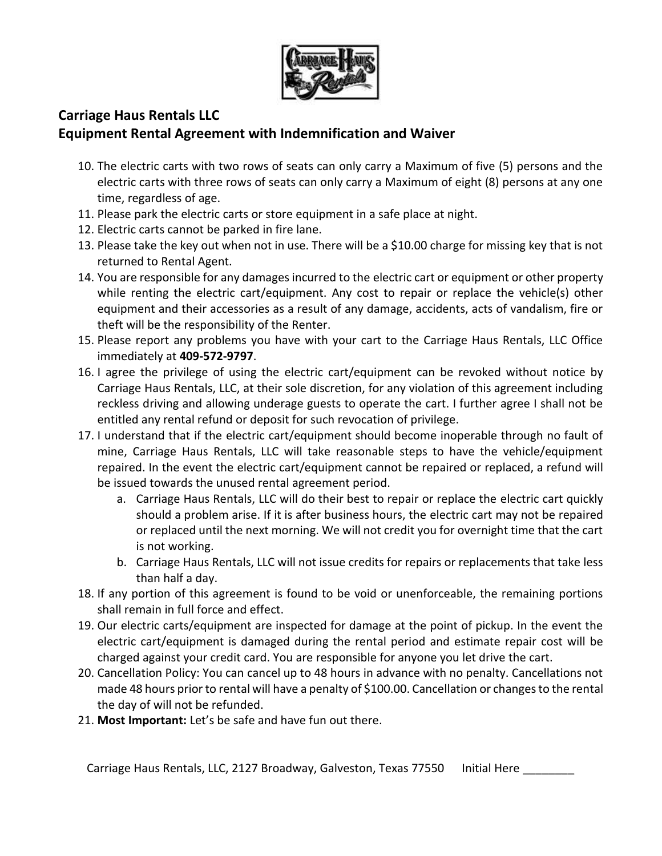

## **Carriage Haus Rentals LLC Equipment Rental Agreement with Indemnification and Waiver**

- 10. The electric carts with two rows of seats can only carry a Maximum of five (5) persons and the electric carts with three rows of seats can only carry a Maximum of eight (8) persons at any one time, regardless of age.
- 11. Please park the electric carts or store equipment in a safe place at night.
- 12. Electric carts cannot be parked in fire lane.
- 13. Please take the key out when not in use. There will be a \$10.00 charge for missing key that is not returned to Rental Agent.
- 14. You are responsible for any damages incurred to the electric cart or equipment or other property while renting the electric cart/equipment. Any cost to repair or replace the vehicle(s) other equipment and their accessories as a result of any damage, accidents, acts of vandalism, fire or theft will be the responsibility of the Renter.
- 15. Please report any problems you have with your cart to the Carriage Haus Rentals, LLC Office immediately at **409-572-9797**.
- 16. I agree the privilege of using the electric cart/equipment can be revoked without notice by Carriage Haus Rentals, LLC, at their sole discretion, for any violation of this agreement including reckless driving and allowing underage guests to operate the cart. I further agree I shall not be entitled any rental refund or deposit for such revocation of privilege.
- 17. I understand that if the electric cart/equipment should become inoperable through no fault of mine, Carriage Haus Rentals, LLC will take reasonable steps to have the vehicle/equipment repaired. In the event the electric cart/equipment cannot be repaired or replaced, a refund will be issued towards the unused rental agreement period.
	- a. Carriage Haus Rentals, LLC will do their best to repair or replace the electric cart quickly should a problem arise. If it is after business hours, the electric cart may not be repaired or replaced until the next morning. We will not credit you for overnight time that the cart is not working.
	- b. Carriage Haus Rentals, LLC will not issue credits for repairs or replacements that take less than half a day.
- 18. If any portion of this agreement is found to be void or unenforceable, the remaining portions shall remain in full force and effect.
- 19. Our electric carts/equipment are inspected for damage at the point of pickup. In the event the electric cart/equipment is damaged during the rental period and estimate repair cost will be charged against your credit card. You are responsible for anyone you let drive the cart.
- 20. Cancellation Policy: You can cancel up to 48 hours in advance with no penalty. Cancellations not made 48 hours prior to rental will have a penalty of \$100.00. Cancellation or changes to the rental the day of will not be refunded.
- 21. **Most Important:** Let's be safe and have fun out there.

Carriage Haus Rentals, LLC, 2127 Broadway, Galveston, Texas 77550 Initial Here \_\_\_\_\_\_\_